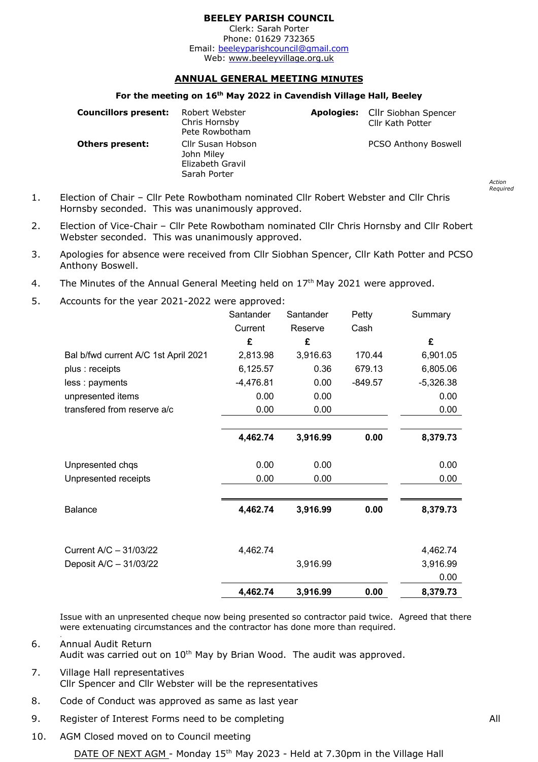## **BEELEY PARISH COUNCIL**

Clerk: Sarah Porter Phone: 01629 732365 Email: beeleyparishcouncil@gmail.com Web:<www.beeleyvillage.org.uk>

# **ANNUAL GENERAL MEETING MINUTES**

#### **For the meeting on 16th May 2022 in Cavendish Village Hall, Beeley**

| <b>Councillors present:</b> | Robert Webster<br>Chris Hornsby<br>Pete Rowbotham                   | Apologies: Cllr Siobhan Spencer<br>Cllr Kath Potter |
|-----------------------------|---------------------------------------------------------------------|-----------------------------------------------------|
| <b>Others present:</b>      | Cllr Susan Hobson<br>John Miley<br>Elizabeth Gravil<br>Sarah Porter | <b>PCSO Anthony Boswell</b>                         |

- 1. Election of Chair Cllr Pete Rowbotham nominated Cllr Robert Webster and Cllr Chris Hornsby seconded. This was unanimously approved.
- 2. Election of Vice-Chair Cllr Pete Rowbotham nominated Cllr Chris Hornsby and Cllr Robert Webster seconded. This was unanimously approved.
- 3. Apologies for absence were received from Cllr Siobhan Spencer, Cllr Kath Potter and PCSO Anthony Boswell.
- 4. The Minutes of the Annual General Meeting held on  $17<sup>th</sup>$  May 2021 were approved.
- 5. Accounts for the year 2021-2022 were approved:

|                                      | Santander   | Santander | Petty     | Summary     |
|--------------------------------------|-------------|-----------|-----------|-------------|
|                                      | Current     | Reserve   | Cash      |             |
|                                      | £           | £         |           | £           |
| Bal b/fwd current A/C 1st April 2021 | 2,813.98    | 3,916.63  | 170.44    | 6,901.05    |
| plus : receipts                      | 6,125.57    | 0.36      | 679.13    | 6,805.06    |
| less : payments                      | $-4,476.81$ | 0.00      | $-849.57$ | $-5,326.38$ |
| unpresented items                    | 0.00        | 0.00      |           | 0.00        |
| transfered from reserve a/c          | 0.00        | 0.00      |           | 0.00        |
|                                      |             |           |           |             |
|                                      | 4,462.74    | 3,916.99  | 0.00      | 8,379.73    |
| Unpresented chqs                     | 0.00        | 0.00      |           | 0.00        |
| Unpresented receipts                 | 0.00        | 0.00      |           | 0.00        |
|                                      |             |           |           |             |
| Balance                              | 4,462.74    | 3,916.99  | 0.00      | 8,379.73    |
|                                      |             |           |           |             |
| Current A/C - 31/03/22               | 4,462.74    |           |           | 4,462.74    |
| Deposit A/C - 31/03/22               |             | 3,916.99  |           | 3,916.99    |
|                                      |             |           |           | 0.00        |
|                                      | 4,462.74    | 3,916.99  | 0.00      | 8,379.73    |

Issue with an unpresented cheque now being presented so contractor paid twice. Agreed that there were extenuating circumstances and the contractor has done more than required.

6. Annual Audit Return Audit was carried out on 10<sup>th</sup> May by Brian Wood. The audit was approved.

- 7. Village Hall representatives Cllr Spencer and Cllr Webster will be the representatives
- 8. Code of Conduct was approved as same as last year
- 9. Register of Interest Forms need to be completing and a series of the All
- 10. AGM Closed moved on to Council meeting

.

*Action Required*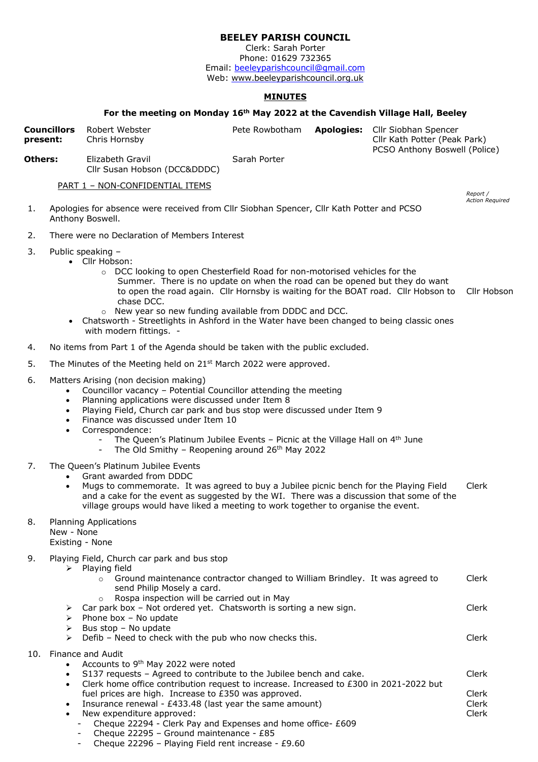### **BEELEY PARISH COUNCIL**

Clerk: Sarah Porter Phone: 01629 732365 Email: <u>beeleyparishcouncil@gmail.com</u> Web:<www.beeleyparishcouncil.org.uk>

### **MINUTES**

#### **For the meeting on Monday 16th May 2022 at the Cavendish Village Hall, Beeley**

| present: | <b>Councillors</b>                                            | Robert Webster<br>Chris Hornsby                                                                                                                                                                                                                                                                                                                                                                                                                                                      | Pete Rowbotham | Apologies: Cllr Siobhan Spencer<br>Cllr Kath Potter (Peak Park) |                                    |
|----------|---------------------------------------------------------------|--------------------------------------------------------------------------------------------------------------------------------------------------------------------------------------------------------------------------------------------------------------------------------------------------------------------------------------------------------------------------------------------------------------------------------------------------------------------------------------|----------------|-----------------------------------------------------------------|------------------------------------|
| Others:  |                                                               | Elizabeth Gravil<br>Cllr Susan Hobson (DCC&DDDC)                                                                                                                                                                                                                                                                                                                                                                                                                                     | Sarah Porter   | PCSO Anthony Boswell (Police)                                   |                                    |
|          |                                                               | PART 1 - NON-CONFIDENTIAL ITEMS                                                                                                                                                                                                                                                                                                                                                                                                                                                      |                |                                                                 |                                    |
| 1.       |                                                               | Apologies for absence were received from Cllr Siobhan Spencer, Cllr Kath Potter and PCSO<br>Anthony Boswell.                                                                                                                                                                                                                                                                                                                                                                         |                |                                                                 | Report /<br><b>Action Required</b> |
| 2.       |                                                               | There were no Declaration of Members Interest                                                                                                                                                                                                                                                                                                                                                                                                                                        |                |                                                                 |                                    |
| 3.       |                                                               | Public speaking -<br>• Cllr Hobson:<br>○ DCC looking to open Chesterfield Road for non-motorised vehicles for the<br>Summer. There is no update on when the road can be opened but they do want<br>to open the road again. Cllr Hornsby is waiting for the BOAT road. Cllr Hobson to<br>chase DCC.<br>o New year so new funding available from DDDC and DCC.<br>Chatsworth - Streetlights in Ashford in the Water have been changed to being classic ones<br>with modern fittings. - |                |                                                                 | Cllr Hobson                        |
| 4.       |                                                               | No items from Part 1 of the Agenda should be taken with the public excluded.                                                                                                                                                                                                                                                                                                                                                                                                         |                |                                                                 |                                    |
| 5.       |                                                               | The Minutes of the Meeting held on 21 <sup>st</sup> March 2022 were approved.                                                                                                                                                                                                                                                                                                                                                                                                        |                |                                                                 |                                    |
| 6.       | $\bullet$<br>$\bullet$<br>$\bullet$<br>$\bullet$<br>$\bullet$ | Matters Arising (non decision making)<br>Councillor vacancy - Potential Councillor attending the meeting<br>Planning applications were discussed under Item 8<br>Playing Field, Church car park and bus stop were discussed under Item 9<br>Finance was discussed under Item 10<br>Correspondence:<br>The Queen's Platinum Jubilee Events - Picnic at the Village Hall on 4th June<br>The Old Smithy - Reopening around 26th May 2022<br>$\blacksquare$                              |                |                                                                 |                                    |
| 7.       | $\bullet$<br>$\bullet$                                        | The Queen's Platinum Jubilee Events<br>Grant awarded from DDDC<br>Mugs to commemorate. It was agreed to buy a Jubilee picnic bench for the Playing Field<br>and a cake for the event as suggested by the WI. There was a discussion that some of the<br>village groups would have liked a meeting to work together to organise the event.                                                                                                                                            |                |                                                                 | Clerk                              |
| 8.       | New - None<br>Existing - None                                 | <b>Planning Applications</b>                                                                                                                                                                                                                                                                                                                                                                                                                                                         |                |                                                                 |                                    |
| 9.       |                                                               | Playing Field, Church car park and bus stop<br>$\triangleright$ Playing field<br>Ground maintenance contractor changed to William Brindley. It was agreed to<br>$\circ$<br>send Philip Mosely a card.<br>Rospa inspection will be carried out in May<br>$\circ$                                                                                                                                                                                                                      |                |                                                                 | Clerk                              |
|          | ➤<br>➤<br>➤                                                   | Car park box - Not ordered yet. Chatsworth is sorting a new sign.<br>> Phone box - No update<br>Bus stop - No update<br>Defib - Need to check with the pub who now checks this.                                                                                                                                                                                                                                                                                                      |                |                                                                 | Clerk<br>Clerk                     |
|          |                                                               | 10. Finance and Audit                                                                                                                                                                                                                                                                                                                                                                                                                                                                |                |                                                                 |                                    |
|          | $\bullet$<br>$\bullet$<br>$\bullet$                           | Accounts to 9 <sup>th</sup> May 2022 were noted<br>S137 requests - Agreed to contribute to the Jubilee bench and cake.<br>Clerk home office contribution request to increase. Increased to £300 in 2021-2022 but<br>fuel prices are high. Increase to £350 was approved.<br>Insurance renewal - £433.48 (last year the same amount)<br>New expenditure approved:                                                                                                                     |                |                                                                 | Clerk<br>Clerk<br>Clerk<br>Clerk   |

- New expenditure approved:
	- Cheque 22294 Clerk Pay and Expenses and home office- £609
	- Cheque 22295 Ground maintenance £85
	- Cheque 22296 Playing Field rent increase £9.60